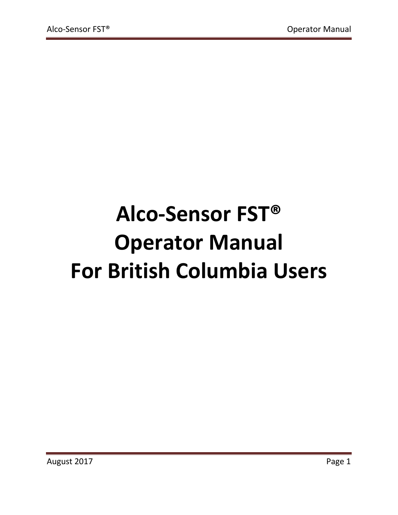# **Alco-Sensor FST® Operator Manual For British Columbia Users**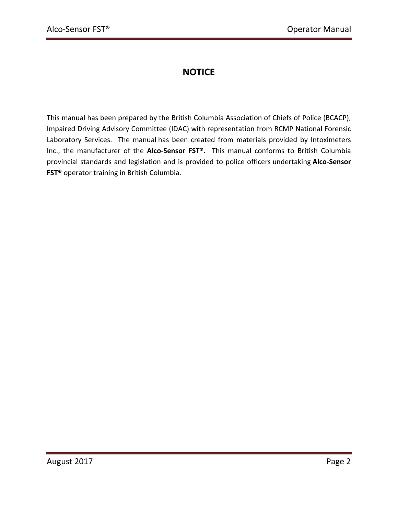# **NOTICE**

This manual has been prepared by the British Columbia Association of Chiefs of Police (BCACP), Impaired Driving Advisory Committee (IDAC) with representation from RCMP National Forensic Laboratory Services. The manual has been created from materials provided by Intoximeters Inc., the manufacturer of the **Alco-Sensor FST®.** This manual conforms to British Columbia provincial standards and legislation and is provided to police officers undertaking **Alco-Sensor FST®** operator training in British Columbia.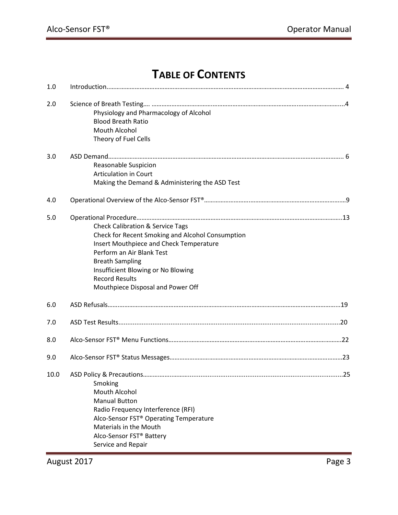# **TABLE OF CONTENTS**

| 1.0  |                                                                                                                                                                                                                                                                                                       |
|------|-------------------------------------------------------------------------------------------------------------------------------------------------------------------------------------------------------------------------------------------------------------------------------------------------------|
| 2.0  | Physiology and Pharmacology of Alcohol<br><b>Blood Breath Ratio</b><br>Mouth Alcohol<br>Theory of Fuel Cells                                                                                                                                                                                          |
| 3.0  | Reasonable Suspicion<br><b>Articulation in Court</b><br>Making the Demand & Administering the ASD Test                                                                                                                                                                                                |
| 4.0  |                                                                                                                                                                                                                                                                                                       |
| 5.0  | <b>Check Calibration &amp; Service Tags</b><br>Check for Recent Smoking and Alcohol Consumption<br>Insert Mouthpiece and Check Temperature<br>Perform an Air Blank Test<br><b>Breath Sampling</b><br>Insufficient Blowing or No Blowing<br><b>Record Results</b><br>Mouthpiece Disposal and Power Off |
| 6.0  |                                                                                                                                                                                                                                                                                                       |
| 7.0  |                                                                                                                                                                                                                                                                                                       |
| 8.0  |                                                                                                                                                                                                                                                                                                       |
| 9.0  |                                                                                                                                                                                                                                                                                                       |
| 10.0 | 25<br>ASD Policy & Precautions<br>Smoking<br>Mouth Alcohol<br><b>Manual Button</b><br>Radio Frequency Interference (RFI)<br>Alco-Sensor FST® Operating Temperature<br>Materials in the Mouth<br>Alco-Sensor FST® Battery<br>Service and Repair                                                        |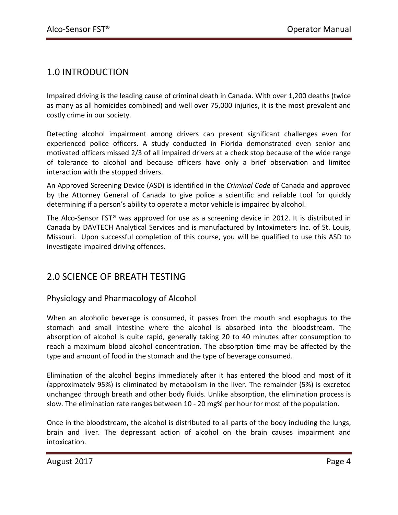# 1.0 INTRODUCTION

Impaired driving is the leading cause of criminal death in Canada. With over 1,200 deaths (twice as many as all homicides combined) and well over 75,000 injuries, it is the most prevalent and costly crime in our society.

Detecting alcohol impairment among drivers can present significant challenges even for experienced police officers. A study conducted in Florida demonstrated even senior and motivated officers missed 2/3 of all impaired drivers at a check stop because of the wide range of tolerance to alcohol and because officers have only a brief observation and limited interaction with the stopped drivers.

An Approved Screening Device (ASD) is identified in the *Criminal Code* of Canada and approved by the Attorney General of Canada to give police a scientific and reliable tool for quickly determining if a person's ability to operate a motor vehicle is impaired by alcohol.

The Alco-Sensor FST® was approved for use as a screening device in 2012. It is distributed in Canada by DAVTECH Analytical Services and is manufactured by Intoximeters Inc. of St. Louis, Missouri. Upon successful completion of this course, you will be qualified to use this ASD to investigate impaired driving offences.

### 2.0 SCIENCE OF BREATH TESTING

#### Physiology and Pharmacology of Alcohol

When an alcoholic beverage is consumed, it passes from the mouth and esophagus to the stomach and small intestine where the alcohol is absorbed into the bloodstream. The absorption of alcohol is quite rapid, generally taking 20 to 40 minutes after consumption to reach a maximum blood alcohol concentration. The absorption time may be affected by the type and amount of food in the stomach and the type of beverage consumed.

Elimination of the alcohol begins immediately after it has entered the blood and most of it (approximately 95%) is eliminated by metabolism in the liver. The remainder (5%) is excreted unchanged through breath and other body fluids. Unlike absorption, the elimination process is slow. The elimination rate ranges between 10 - 20 mg% per hour for most of the population.

Once in the bloodstream, the alcohol is distributed to all parts of the body including the lungs, brain and liver. The depressant action of alcohol on the brain causes impairment and intoxication.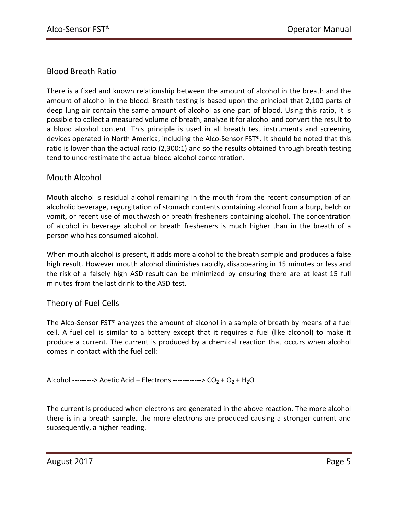#### Blood Breath Ratio

There is a fixed and known relationship between the amount of alcohol in the breath and the amount of alcohol in the blood. Breath testing is based upon the principal that 2,100 parts of deep lung air contain the same amount of alcohol as one part of blood. Using this ratio, it is possible to collect a measured volume of breath, analyze it for alcohol and convert the result to a blood alcohol content. This principle is used in all breath test instruments and screening devices operated in North America, including the Alco-Sensor FST®. It should be noted that this ratio is lower than the actual ratio (2,300:1) and so the results obtained through breath testing tend to underestimate the actual blood alcohol concentration.

#### Mouth Alcohol

Mouth alcohol is residual alcohol remaining in the mouth from the recent consumption of an alcoholic beverage, regurgitation of stomach contents containing alcohol from a burp, belch or vomit, or recent use of mouthwash or breath fresheners containing alcohol. The concentration of alcohol in beverage alcohol or breath fresheners is much higher than in the breath of a person who has consumed alcohol.

When mouth alcohol is present, it adds more alcohol to the breath sample and produces a false high result. However mouth alcohol diminishes rapidly, disappearing in 15 minutes or less and the risk of a falsely high ASD result can be minimized by ensuring there are at least 15 full minutes from the last drink to the ASD test.

#### Theory of Fuel Cells

The Alco-Sensor FST® analyzes the amount of alcohol in a sample of breath by means of a fuel cell. A fuel cell is similar to a battery except that it requires a fuel (like alcohol) to make it produce a current. The current is produced by a chemical reaction that occurs when alcohol comes in contact with the fuel cell:

Alcohol ---------> Acetic Acid + Electrons ------------>  $CO_2 + O_2 + H_2O$ 

The current is produced when electrons are generated in the above reaction. The more alcohol there is in a breath sample, the more electrons are produced causing a stronger current and subsequently, a higher reading.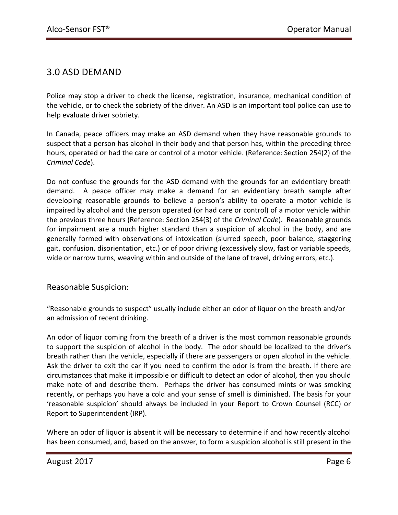# 3.0 ASD DEMAND

Police may stop a driver to check the license, registration, insurance, mechanical condition of the vehicle, or to check the sobriety of the driver. An ASD is an important tool police can use to help evaluate driver sobriety.

In Canada, peace officers may make an ASD demand when they have reasonable grounds to suspect that a person has alcohol in their body and that person has, within the preceding three hours, operated or had the care or control of a motor vehicle. (Reference: Section 254(2) of the *Criminal Code*).

Do not confuse the grounds for the ASD demand with the grounds for an evidentiary breath demand. A peace officer may make a demand for an evidentiary breath sample after developing reasonable grounds to believe a person's ability to operate a motor vehicle is impaired by alcohol and the person operated (or had care or control) of a motor vehicle within the previous three hours (Reference: Section 254(3) of the *Criminal Code*). Reasonable grounds for impairment are a much higher standard than a suspicion of alcohol in the body, and are generally formed with observations of intoxication (slurred speech, poor balance, staggering gait, confusion, disorientation, etc.) or of poor driving (excessively slow, fast or variable speeds, wide or narrow turns, weaving within and outside of the lane of travel, driving errors, etc.).

#### Reasonable Suspicion:

"Reasonable grounds to suspect" usually include either an odor of liquor on the breath and/or an admission of recent drinking.

An odor of liquor coming from the breath of a driver is the most common reasonable grounds to support the suspicion of alcohol in the body. The odor should be localized to the driver's breath rather than the vehicle, especially if there are passengers or open alcohol in the vehicle. Ask the driver to exit the car if you need to confirm the odor is from the breath. If there are circumstances that make it impossible or difficult to detect an odor of alcohol, then you should make note of and describe them. Perhaps the driver has consumed mints or was smoking recently, or perhaps you have a cold and your sense of smell is diminished. The basis for your 'reasonable suspicion' should always be included in your Report to Crown Counsel (RCC) or Report to Superintendent (IRP).

Where an odor of liquor is absent it will be necessary to determine if and how recently alcohol has been consumed, and, based on the answer, to form a suspicion alcohol is still present in the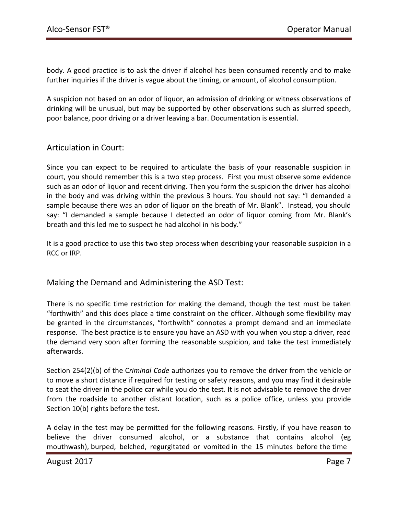body. A good practice is to ask the driver if alcohol has been consumed recently and to make further inquiries if the driver is vague about the timing, or amount, of alcohol consumption.

A suspicion not based on an odor of liquor, an admission of drinking or witness observations of drinking will be unusual, but may be supported by other observations such as slurred speech, poor balance, poor driving or a driver leaving a bar. Documentation is essential.

#### Articulation in Court:

Since you can expect to be required to articulate the basis of your reasonable suspicion in court, you should remember this is a two step process. First you must observe some evidence such as an odor of liquor and recent driving. Then you form the suspicion the driver has alcohol in the body and was driving within the previous 3 hours. You should not say: "I demanded a sample because there was an odor of liquor on the breath of Mr. Blank". Instead, you should say: "I demanded a sample because I detected an odor of liquor coming from Mr. Blank's breath and this led me to suspect he had alcohol in his body."

It is a good practice to use this two step process when describing your reasonable suspicion in a RCC or IRP.

Making the Demand and Administering the ASD Test:

There is no specific time restriction for making the demand, though the test must be taken "forthwith" and this does place a time constraint on the officer. Although some flexibility may be granted in the circumstances, "forthwith" connotes a prompt demand and an immediate response. The best practice is to ensure you have an ASD with you when you stop a driver, read the demand very soon after forming the reasonable suspicion, and take the test immediately afterwards.

Section 254(2)(b) of the C*riminal Code* authorizes you to remove the driver from the vehicle or to move a short distance if required for testing or safety reasons, and you may find it desirable to seat the driver in the police car while you do the test. It is not advisable to remove the driver from the roadside to another distant location, such as a police office, unless you provide Section 10(b) rights before the test.

A delay in the test may be permitted for the following reasons. Firstly, if you have reason to believe the driver consumed alcohol, or a substance that contains alcohol (eg mouthwash), burped, belched, regurgitated or vomited in the 15 minutes before the time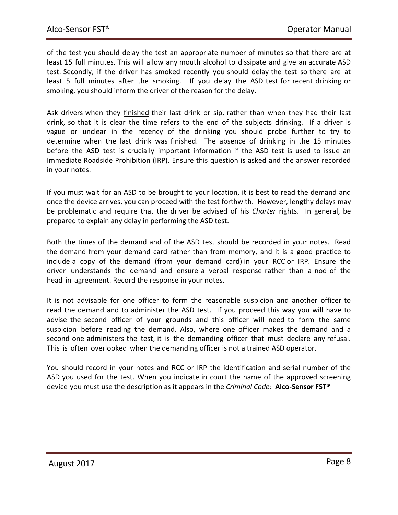of the test you should delay the test an appropriate number of minutes so that there are at least 15 full minutes. This will allow any mouth alcohol to dissipate and give an accurate ASD test. Secondly, if the driver has smoked recently you should delay the test so there are at least 5 full minutes after the smoking. If you delay the ASD test for recent drinking or smoking, you should inform the driver of the reason for the delay.

Ask drivers when they finished their last drink or sip, rather than when they had their last drink, so that it is clear the time refers to the end of the subjects drinking. If a driver is vague or unclear in the recency of the drinking you should probe further to try to determine when the last drink was finished. The absence of drinking in the 15 minutes before the ASD test is crucially important information if the ASD test is used to issue an Immediate Roadside Prohibition (IRP). Ensure this question is asked and the answer recorded in your notes.

If you must wait for an ASD to be brought to your location, it is best to read the demand and once the device arrives, you can proceed with the test forthwith. However, lengthy delays may be problematic and require that the driver be advised of his *Charter* rights. In general, be prepared to explain any delay in performing the ASD test.

Both the times of the demand and of the ASD test should be recorded in your notes. Read the demand from your demand card rather than from memory, and it is a good practice to include a copy of the demand (from your demand card) in your RCC or IRP. Ensure the driver understands the demand and ensure a verbal response rather than a nod of the head in agreement. Record the response in your notes.

It is not advisable for one officer to form the reasonable suspicion and another officer to read the demand and to administer the ASD test. If you proceed this way you will have to advise the second officer of your grounds and this officer will need to form the same suspicion before reading the demand. Also, where one officer makes the demand and a second one administers the test, it is the demanding officer that must declare any refusal. This is often overlooked when the demanding officer is not a trained ASD operator.

You should record in your notes and RCC or IRP the identification and serial number of the ASD you used for the test. When you indicate in court the name of the approved screening device you must use the description as it appears in the *Criminal Code:* **Alco-Sensor FST®**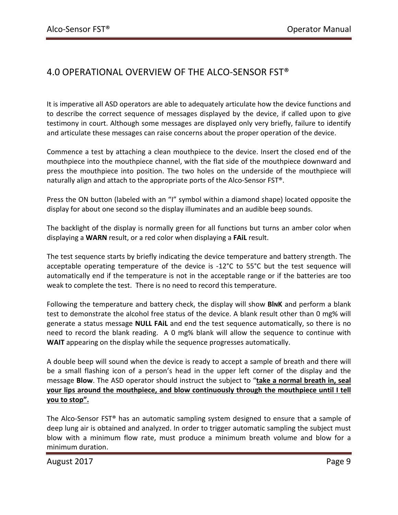# 4.0 OPERATIONAL OVERVIEW OF THE ALCO-SENSOR FST®

It is imperative all ASD operators are able to adequately articulate how the device functions and to describe the correct sequence of messages displayed by the device, if called upon to give testimony in court. Although some messages are displayed only very briefly, failure to identify and articulate these messages can raise concerns about the proper operation of the device.

Commence a test by attaching a clean mouthpiece to the device. Insert the closed end of the mouthpiece into the mouthpiece channel, with the flat side of the mouthpiece downward and press the mouthpiece into position. The two holes on the underside of the mouthpiece will naturally align and attach to the appropriate ports of the Alco-Sensor FST®.

Press the ON button (labeled with an "I" symbol within a diamond shape) located opposite the display for about one second so the display illuminates and an audible beep sounds.

The backlight of the display is normally green for all functions but turns an amber color when displaying a **WARN** result, or a red color when displaying a **FAiL** result.

The test sequence starts by briefly indicating the device temperature and battery strength. The acceptable operating temperature of the device is -12°C to 55°C but the test sequence will automatically end if the temperature is not in the acceptable range or if the batteries are too weak to complete the test. There is no need to record this temperature.

Following the temperature and battery check, the display will show **BINK** and perform a blank test to demonstrate the alcohol free status of the device. A blank result other than 0 mg% will generate a status message **NULL FAiL** and end the test sequence automatically, so there is no need to record the blank reading. A 0 mg% blank will allow the sequence to continue with **WAIT** appearing on the display while the sequence progresses automatically.

A double beep will sound when the device is ready to accept a sample of breath and there will be a small flashing icon of a person's head in the upper left corner of the display and the message **Blow**. The ASD operator should instruct the subject to "**take a normal breath in, seal your lips around the mouthpiece, and blow continuously through the mouthpiece until I tell you to stop".** 

The Alco-Sensor FST® has an automatic sampling system designed to ensure that a sample of deep lung air is obtained and analyzed. In order to trigger automatic sampling the subject must blow with a minimum flow rate, must produce a minimum breath volume and blow for a minimum duration.

August 2017 **Page 9**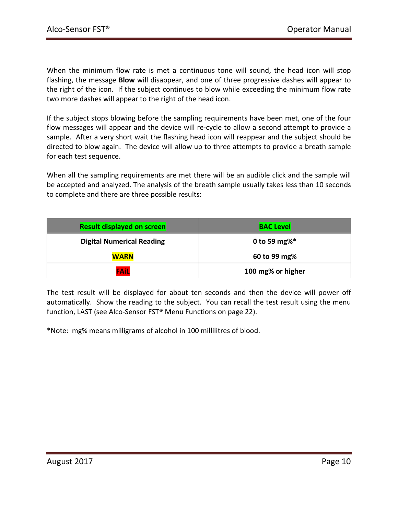When the minimum flow rate is met a continuous tone will sound, the head icon will stop flashing, the message **Blow** will disappear, and one of three progressive dashes will appear to the right of the icon. If the subject continues to blow while exceeding the minimum flow rate two more dashes will appear to the right of the head icon.

If the subject stops blowing before the sampling requirements have been met, one of the four flow messages will appear and the device will re-cycle to allow a second attempt to provide a sample. After a very short wait the flashing head icon will reappear and the subject should be directed to blow again. The device will allow up to three attempts to provide a breath sample for each test sequence.

When all the sampling requirements are met there will be an audible click and the sample will be accepted and analyzed. The analysis of the breath sample usually takes less than 10 seconds to complete and there are three possible results:

| <b>Result displayed on screen</b> | <b>BAC Level</b>  |
|-----------------------------------|-------------------|
| <b>Digital Numerical Reading</b>  | 0 to 59 mg% $*$   |
| <b>WARN</b>                       | 60 to 99 mg%      |
| <b>FAIL</b>                       | 100 mg% or higher |

The test result will be displayed for about ten seconds and then the device will power off automatically. Show the reading to the subject. You can recall the test result using the menu function, LAST (see Alco-Sensor FST® Menu Functions on page 22).

\*Note: mg% means milligrams of alcohol in 100 millilitres of blood.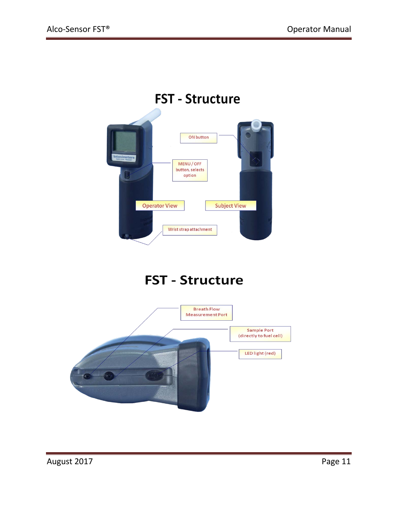

# **FST - Structure**

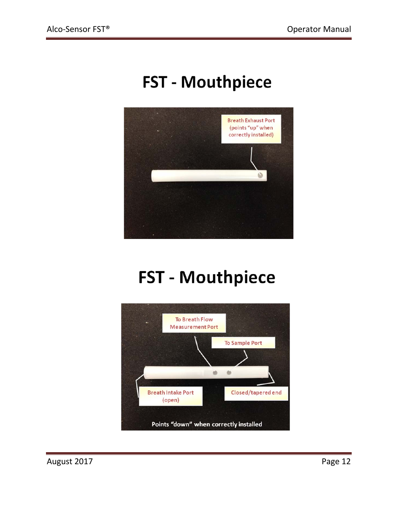# **FST - Mouthpiece**



# **FST - Mouthpiece**



August 2017 Page 12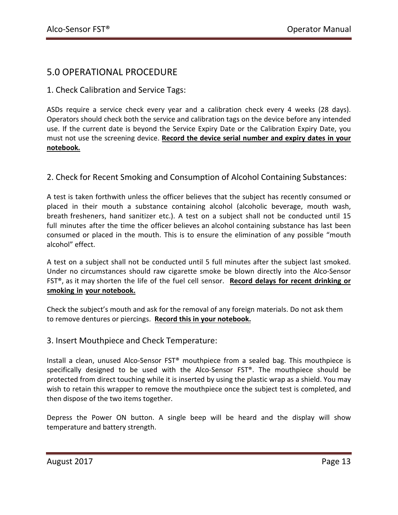# 5.0 OPERATIONAL PROCEDURE

1. Check Calibration and Service Tags:

ASDs require a service check every year and a calibration check every 4 weeks (28 days). Operators should check both the service and calibration tags on the device before any intended use. If the current date is beyond the Service Expiry Date or the Calibration Expiry Date, you must not use the screening device. **Record the device serial number and expiry dates in your notebook.**

#### 2. Check for Recent Smoking and Consumption of Alcohol Containing Substances:

A test is taken forthwith unless the officer believes that the subject has recently consumed or placed in their mouth a substance containing alcohol (alcoholic beverage, mouth wash, breath fresheners, hand sanitizer etc.). A test on a subject shall not be conducted until 15 full minutes after the time the officer believes an alcohol containing substance has last been consumed or placed in the mouth. This is to ensure the elimination of any possible "mouth alcohol" effect.

A test on a subject shall not be conducted until 5 full minutes after the subject last smoked. Under no circumstances should raw cigarette smoke be blown directly into the Alco-Sensor FST®, as it may shorten the life of the fuel cell sensor. **Record delays for recent drinking or smoking in your notebook.**

Check the subject's mouth and ask for the removal of any foreign materials. Do not ask them to remove dentures or piercings. **Record this in your notebook.**

#### 3. Insert Mouthpiece and Check Temperature:

Install a clean, unused Alco-Sensor FST® mouthpiece from a sealed bag. This mouthpiece is specifically designed to be used with the Alco-Sensor FST®. The mouthpiece should be protected from direct touching while it is inserted by using the plastic wrap as a shield. You may wish to retain this wrapper to remove the mouthpiece once the subject test is completed, and then dispose of the two items together.

Depress the Power ON button. A single beep will be heard and the display will show temperature and battery strength.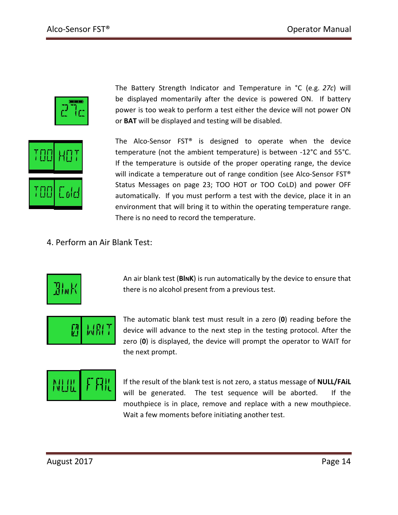



The Battery Strength Indicator and Temperature in °C (e.g. *27c*) will be displayed momentarily after the device is powered ON. If battery power is too weak to perform a test either the device will not power ON or **BAT** will be displayed and testing will be disabled.

The Alco-Sensor FST® is designed to operate when the device temperature (not the ambient temperature) is between -12°C and 55°C. If the temperature is outside of the proper operating range, the device will indicate a temperature out of range condition (see Alco-Sensor FST® Status Messages on page 23; TOO HOT or TOO CoLD) and power OFF automatically. If you must perform a test with the device, place it in an environment that will bring it to within the operating temperature range. There is no need to record the temperature.

4. Perform an Air Blank Test:



An air blank test (**BlNK**) is run automatically by the device to ensure that there is no alcohol present from a previous test.



The automatic blank test must result in a zero (**0**) reading before the device will advance to the next step in the testing protocol. After the zero (**0**) is displayed, the device will prompt the operator to WAIT for the next prompt.



If the result of the blank test is not zero, a status message of **NULL/FAiL** will be generated. The test sequence will be aborted. If the mouthpiece is in place, remove and replace with a new mouthpiece. Wait a few moments before initiating another test.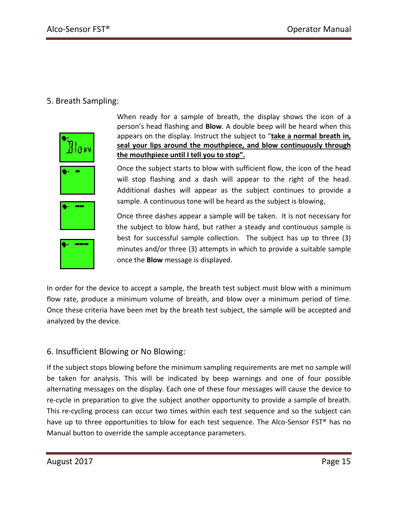#### 5. Breath Sampling:



When ready for a sample of breath, the display shows the icon of a person's head flashing and **Blow**. A double beep will be heard when this appears on the display. Instruct the subject to "**take a normal breath in, seal your lips around the mouthpiece, and blow continuously through the mouthpiece until I tell you to stop".** 

Once the subject starts to blow with sufficient flow, the icon of the head will stop flashing and a dash will appear to the right of the head. Additional dashes will appear as the subject continues to provide a sample. A continuous tone will be heard as the subject is blowing.





Once three dashes appear a sample will be taken. It is not necessary for the subject to blow hard, but rather a steady and continuous sample is best for successful sample collection. The subject has up to three (3) minutes and/or three (3) attempts in which to provide a suitable sample once the **Blow** message is displayed.

In order for the device to accept a sample, the breath test subject must blow with a minimum flow rate, produce a minimum volume of breath, and blow over a minimum period of time. Once these criteria have been met by the breath test subject, the sample will be accepted and analyzed by the device.

#### 6. Insufficient Blowing or No Blowing:

If the subject stops blowing before the minimum sampling requirements are met no sample will be taken for analysis. This will be indicated by beep warnings and one of four possible alternating messages on the display. Each one of these four messages will cause the device to re-cycle in preparation to give the subject another opportunity to provide a sample of breath. This re-cycling process can occur two times within each test sequence and so the subject can have up to three opportunities to blow for each test sequence. The Alco-Sensor FST<sup>®</sup> has no Manual button to override the sample acceptance parameters.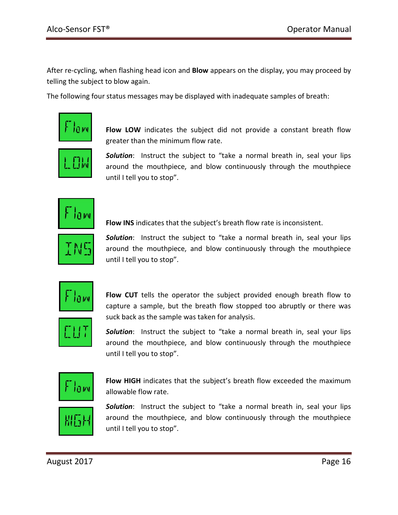After re-cycling, when flashing head icon and **Blow** appears on the display, you may proceed by telling the subject to blow again.

The following four status messages may be displayed with inadequate samples of breath:



**Flow LOW** indicates the subject did not provide a constant breath flow greater than the minimum flow rate.

*Solution*: Instruct the subject to "take a normal breath in, seal your lips around the mouthpiece, and blow continuously through the mouthpiece until I tell you to stop".



**Flow INS** indicates that the subject's breath flow rate is inconsistent.



*Solution*: Instruct the subject to "take a normal breath in, seal your lips around the mouthpiece, and blow continuously through the mouthpiece until I tell you to stop".



**Flow CUT** tells the operator the subject provided enough breath flow to capture a sample, but the breath flow stopped too abruptly or there was suck back as the sample was taken for analysis.



*Solution*: Instruct the subject to "take a normal breath in, seal your lips around the mouthpiece, and blow continuously through the mouthpiece until I tell you to stop".



**Flow HIGH** indicates that the subject's breath flow exceeded the maximum allowable flow rate.



*Solution*: Instruct the subject to "take a normal breath in, seal your lips around the mouthpiece, and blow continuously through the mouthpiece until I tell you to stop".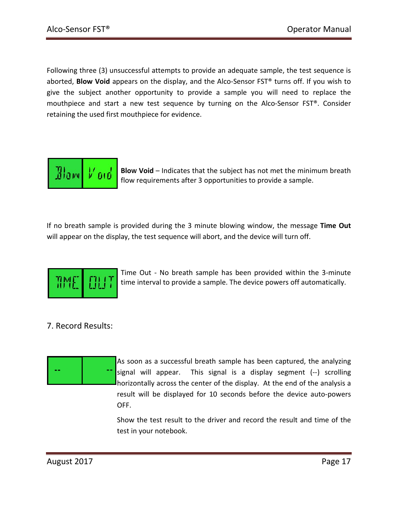Following three (3) unsuccessful attempts to provide an adequate sample, the test sequence is aborted, **Blow Void** appears on the display, and the Alco-Sensor FST® turns off. If you wish to give the subject another opportunity to provide a sample you will need to replace the mouthpiece and start a new test sequence by turning on the Alco-Sensor FST®. Consider retaining the used first mouthpiece for evidence.



**BloW Void** – Indicates that the subject has not met the minimum breath flow requirements after 3 opportunities to provide a sample.

If no breath sample is provided during the 3 minute blowing window, the message **Time Out** will appear on the display, the test sequence will abort, and the device will turn off.



Time Out - No breath sample has been provided within the 3-minute time interval to provide a sample. The device powers off automatically.

#### 7. Record Results:



As soon as a successful breath sample has been captured, the analyzing signal will appear. This signal is a display segment (--) scrolling horizontally across the center of the display. At the end of the analysis a result will be displayed for 10 seconds before the device auto-powers OFF.

Show the test result to the driver and record the result and time of the test in your notebook.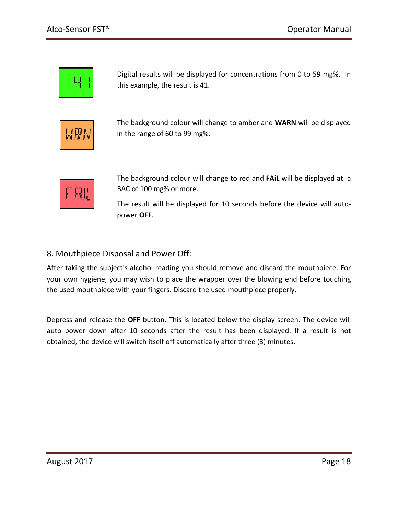

Digital results will be displayed for concentrations from 0 to 59 mg%. In this example, the result is 41.



The background colour will change to amber and **WARN** will be displayed in the range of 60 to 99 mg%.



The background colour will change to red and **FAiL** will be displayed at a BAC of 100 mg% or more.

The result will be displayed for 10 seconds before the device will autopower **OFF**.

#### 8. Mouthpiece Disposal and Power Off:

After taking the subject's alcohol reading you should remove and discard the mouthpiece. For your own hygiene, you may wish to place the wrapper over the blowing end before touching the used mouthpiece with your fingers. Discard the used mouthpiece properly.

Depress and release the **OFF** button. This is located below the display screen. The device will auto power down after 10 seconds after the result has been displayed. If a result is not obtained, the device will switch itself off automatically after three (3) minutes.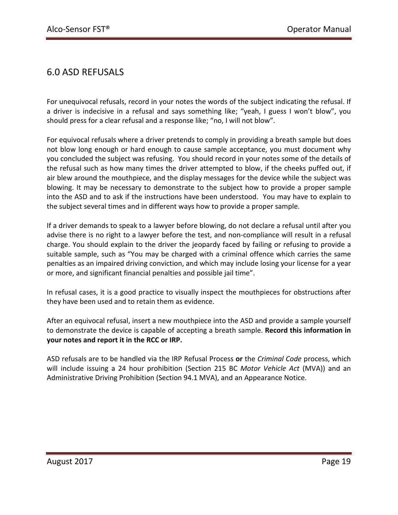# 6.0 ASD REFUSALS

For unequivocal refusals, record in your notes the words of the subject indicating the refusal. If a driver is indecisive in a refusal and says something like; "yeah, I guess I won't blow", you should press for a clear refusal and a response like; "no, I will not blow".

For equivocal refusals where a driver pretends to comply in providing a breath sample but does not blow long enough or hard enough to cause sample acceptance, you must document why you concluded the subject was refusing. You should record in your notes some of the details of the refusal such as how many times the driver attempted to blow, if the cheeks puffed out, if air blew around the mouthpiece, and the display messages for the device while the subject was blowing. It may be necessary to demonstrate to the subject how to provide a proper sample into the ASD and to ask if the instructions have been understood. You may have to explain to the subject several times and in different ways how to provide a proper sample.

If a driver demands to speak to a lawyer before blowing, do not declare a refusal until after you advise there is no right to a lawyer before the test, and non-compliance will result in a refusal charge. You should explain to the driver the jeopardy faced by failing or refusing to provide a suitable sample, such as "You may be charged with a criminal offence which carries the same penalties as an impaired driving conviction, and which may include losing your license for a year or more, and significant financial penalties and possible jail time".

In refusal cases, it is a good practice to visually inspect the mouthpieces for obstructions after they have been used and to retain them as evidence.

After an equivocal refusal, insert a new mouthpiece into the ASD and provide a sample yourself to demonstrate the device is capable of accepting a breath sample. **Record this information in your notes and report it in the RCC or IRP.** 

ASD refusals are to be handled via the IRP Refusal Process **or** the *Criminal Code* process, which will include issuing a 24 hour prohibition (Section 215 BC *Motor Vehicle Act* (MVA)) and an Administrative Driving Prohibition (Section 94.1 MVA), and an Appearance Notice.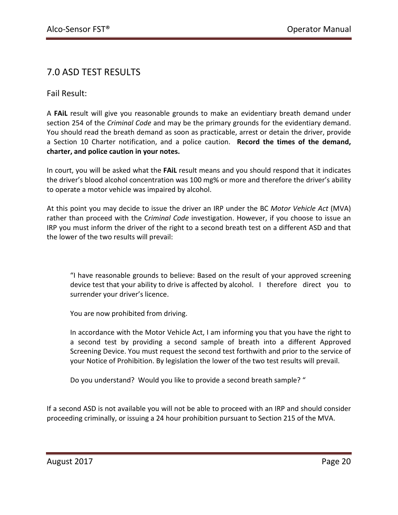# 7.0 ASD TEST RESULTS

Fail Result:

A **FAiL** result will give you reasonable grounds to make an evidentiary breath demand under section 254 of the *Criminal Code* and may be the primary grounds for the evidentiary demand. You should read the breath demand as soon as practicable, arrest or detain the driver, provide a Section 10 Charter notification, and a police caution. **Record the times of the demand, charter, and police caution in your notes.**

In court, you will be asked what the **FAiL** result means and you should respond that it indicates the driver's blood alcohol concentration was 100 mg% or more and therefore the driver's ability to operate a motor vehicle was impaired by alcohol.

At this point you may decide to issue the driver an IRP under the BC *Motor Vehicle Act* (MVA) rather than proceed with the C*riminal Code* investigation. However, if you choose to issue an IRP you must inform the driver of the right to a second breath test on a different ASD and that the lower of the two results will prevail:

"I have reasonable grounds to believe: Based on the result of your approved screening device test that your ability to drive is affected by alcohol. I therefore direct you to surrender your driver's licence.

You are now prohibited from driving.

In accordance with the Motor Vehicle Act, I am informing you that you have the right to a second test by providing a second sample of breath into a different Approved Screening Device. You must request the second test forthwith and prior to the service of your Notice of Prohibition. By legislation the lower of the two test results will prevail.

Do you understand? Would you like to provide a second breath sample? "

If a second ASD is not available you will not be able to proceed with an IRP and should consider proceeding criminally, or issuing a 24 hour prohibition pursuant to Section 215 of the MVA.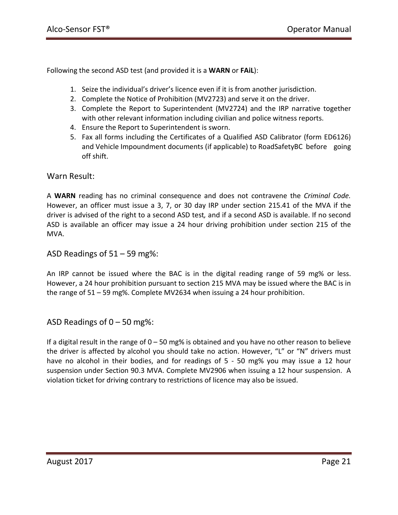Following the second ASD test (and provided it is a **WARN** or **FAiL**):

- 1. Seize the individual's driver's licence even if it is from another jurisdiction.
- 2. Complete the Notice of Prohibition (MV2723) and serve it on the driver.
- 3. Complete the Report to Superintendent (MV2724) and the IRP narrative together with other relevant information including civilian and police witness reports.
- 4. Ensure the Report to Superintendent is sworn.
- 5. Fax all forms including the Certificates of a Qualified ASD Calibrator (form ED6126) and Vehicle Impoundment documents (if applicable) to RoadSafetyBC before going off shift.

#### Warn Result:

A **WARN** reading has no criminal consequence and does not contravene the *Criminal Code.* However, an officer must issue a 3, 7, or 30 day IRP under section 215.41 of the MVA if the driver is advised of the right to a second ASD test*,* and if a second ASD is available. If no second ASD is available an officer may issue a 24 hour driving prohibition under section 215 of the MVA.

ASD Readings of 51 – 59 mg%:

An IRP cannot be issued where the BAC is in the digital reading range of 59 mg% or less. However, a 24 hour prohibition pursuant to section 215 MVA may be issued where the BAC is in the range of 51 – 59 mg%. Complete MV2634 when issuing a 24 hour prohibition.

ASD Readings of  $0 - 50$  mg%:

If a digital result in the range of 0 – 50 mg% is obtained and you have no other reason to believe the driver is affected by alcohol you should take no action. However, "L" or "N" drivers must have no alcohol in their bodies, and for readings of 5 - 50 mg% you may issue a 12 hour suspension under Section 90.3 MVA. Complete MV2906 when issuing a 12 hour suspension. A violation ticket for driving contrary to restrictions of licence may also be issued.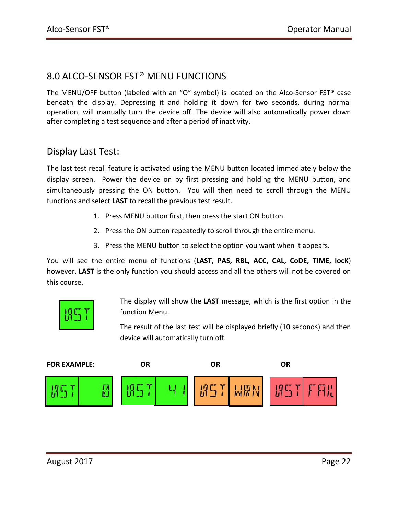### 8.0 ALCO-SENSOR FST® MENU FUNCTIONS

The MENU/OFF button (labeled with an "O" symbol) is located on the Alco-Sensor FST® case beneath the display. Depressing it and holding it down for two seconds, during normal operation, will manually turn the device off. The device will also automatically power down after completing a test sequence and after a period of inactivity.

#### Display Last Test:

The last test recall feature is activated using the MENU button located immediately below the display screen. Power the device on by first pressing and holding the MENU button, and simultaneously pressing the ON button. You will then need to scroll through the MENU functions and select **LAST** to recall the previous test result.

- 1. Press MENU button first, then press the start ON button.
- 2. Press the ON button repeatedly to scroll through the entire menu.
- 3. Press the MENU button to select the option you want when it appears.

You will see the entire menu of functions (**LAST, PAS, RBL, ACC, CAL, CoDE, TIME, locK**) however, **LAST** is the only function you should access and all the others will not be covered on this course.



The display will show the **LAST** message, which is the first option in the function Menu.

The result of the last test will be displayed briefly (10 seconds) and then device will automatically turn off.

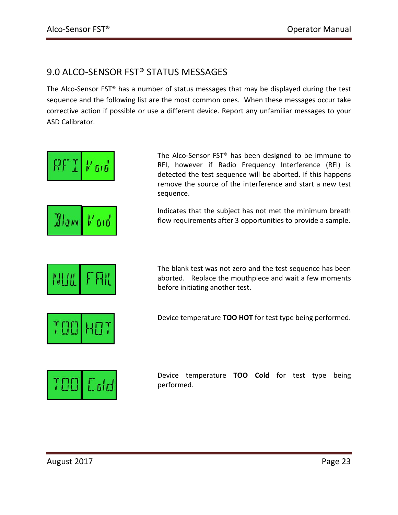# 9.0 ALCO-SENSOR FST® STATUS MESSAGES

The Alco-Sensor FST® has a number of status messages that may be displayed during the test sequence and the following list are the most common ones. When these messages occur take corrective action if possible or use a different device. Report any unfamiliar messages to your ASD Calibrator.

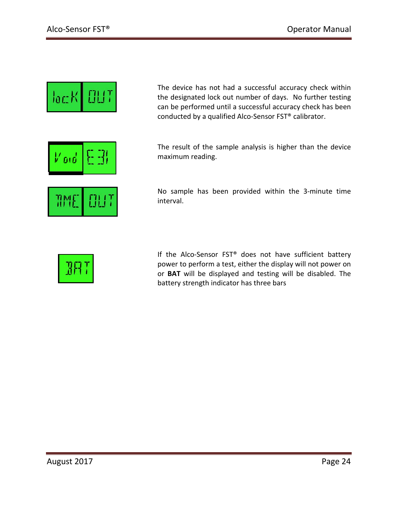



The device has not had a successful accuracy check within the designated lock out number of days. No further testing can be performed until a successful accuracy check has been conducted by a qualified Alco-Sensor FST® calibrator.

The result of the sample analysis is higher than the device maximum reading.



No sample has been provided within the 3-minute time interval.



If the Alco-Sensor FST® does not have sufficient battery power to perform a test, either the display will not power on or **BAT** will be displayed and testing will be disabled. The battery strength indicator has three bars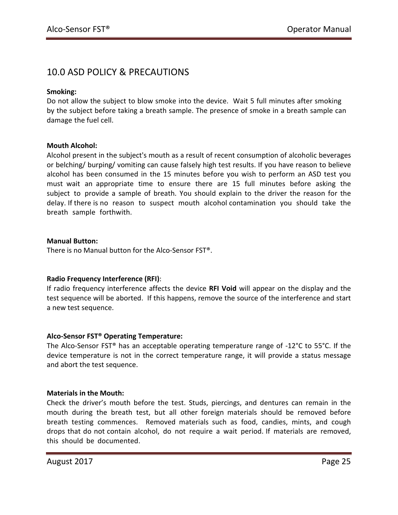# 10.0 ASD POLICY & PRECAUTIONS

#### **Smoking:**

Do not allow the subject to blow smoke into the device. Wait 5 full minutes after smoking by the subject before taking a breath sample. The presence of smoke in a breath sample can damage the fuel cell.

#### **Mouth Alcohol:**

Alcohol present in the subject's mouth as a result of recent consumption of alcoholic beverages or belching/ burping/ vomiting can cause falsely high test results. If you have reason to believe alcohol has been consumed in the 15 minutes before you wish to perform an ASD test you must wait an appropriate time to ensure there are 15 full minutes before asking the subject to provide a sample of breath. You should explain to the driver the reason for the delay. If there is no reason to suspect mouth alcohol contamination you should take the breath sample forthwith.

#### **Manual Button:**

There is no Manual button for the Alco-Sensor FST®.

#### **Radio Frequency Interference (RFI)**:

If radio frequency interference affects the device **RFI Void** will appear on the display and the test sequence will be aborted. If this happens, remove the source of the interference and start a new test sequence.

#### **Alco-Sensor FST® Operating Temperature:**

The Alco-Sensor FST® has an acceptable operating temperature range of -12°C to 55°C. If the device temperature is not in the correct temperature range, it will provide a status message and abort the test sequence.

#### **Materials in the Mouth:**

Check the driver's mouth before the test. Studs, piercings, and dentures can remain in the mouth during the breath test, but all other foreign materials should be removed before breath testing commences. Removed materials such as food, candies, mints, and cough drops that do not contain alcohol, do not require a wait period. If materials are removed, this should be documented.